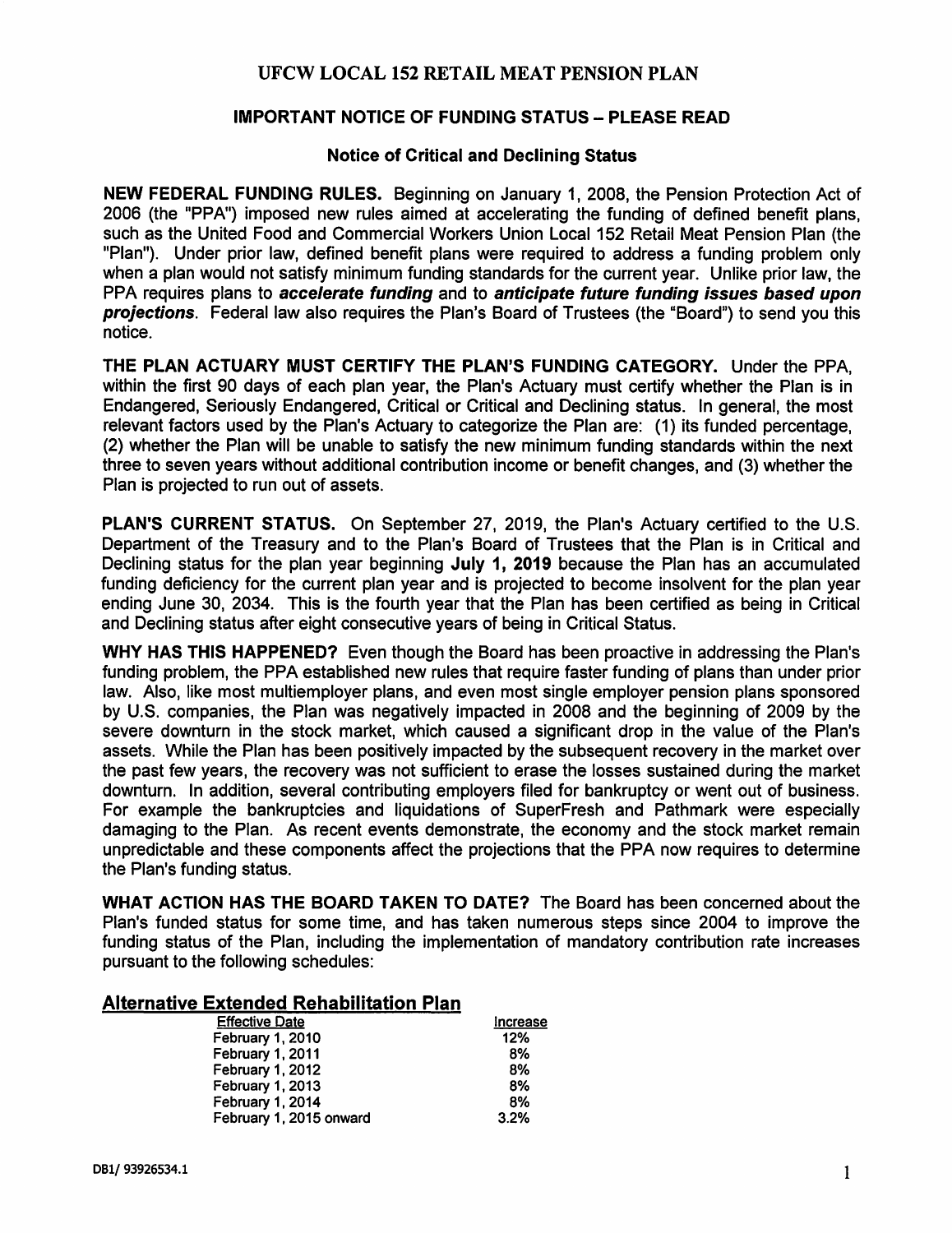# **UFCW LOCAL 152 RETAIL MEAT PENSION PLAN**

### **IMPORTANT NOTICE OF FUNDING STATUS- PLEASE READ**

#### **Notice of Critical and Declining Status**

**NEW FEDERAL FUNDING RULES.** Beginning on January 1, 2008, the Pension Protection Act of 2006 (the "PPA") imposed new rules aimed at accelerating the funding of defined benefit plans, such as the United Food and Commercial Workers Union Local 152 Retail Meat Pension Plan (the "Plan"). Under prior law, defined benefit plans were required to address a funding problem only when a plan would not satisfy minimum funding standards for the current year. Unlike prior law, the PPA requires plans to **accelerate funding** and to **anticipate future funding issues based upon projections**. Federal law also requires the Plan's Board of Trustees (the "Board") to send you this notice.

**THE PLAN ACTUARY MUST CERTIFY THE PLAN'S FUNDING CATEGORY.** Under the PPA, within the first 90 days of each plan year, the Plan's Actuary must certify whether the Plan is in Endangered, Seriously Endangered, Critical or Critical and Declining status. In general, the most relevant factors used by the Plan's Actuary to categorize the Plan are: (1) its funded percentage, (2) whether the Plan will be unable to satisfy the new minimum funding standards within the next three to seven years without additional contribution income or benefit changes, and (3) whether the Plan is projected to run out of assets.

**PLAN'S CURRENT STATUS.** On September 27, 2019, the Plan's Actuary certified to the U.S. Department of the Treasury and to the Plan's Board of Trustees that the Plan is in Critical and Declining status for the plan year beginning **July 1, 2019** because the Plan has an accumulated funding deficiency for the current plan year and is projected to become insolvent for the plan year ending June 30, 2034. This is the fourth year that the Plan has been certified as being in Critical and Declining status after eight consecutive years of being in Critical Status.

**WHY HAS THIS HAPPENED?** Even though the Board has been proactive in addressing the Plan's funding problem, the PPA established new rules that require faster funding of plans than under prior law. Also, like most multiemployer plans, and even most single employer pension plans sponsored by U.S. companies, the Plan was negatively impacted in 2008 and the beginning of 2009 by the severe downturn in the stock market, which caused a significant drop in the value of the Plan's assets. While the Plan has been positively impacted by the subsequent recovery in the market over the past few years, the recovery was not sufficient to erase the losses sustained during the market downturn. In addition, several contributing employers filed for bankruptcy or went out of business. For example the bankruptcies and liquidations of SuperFresh and Pathmark were especially damaging to the Plan. As recent events demonstrate, the economy and the stock market remain unpredictable and these components affect the projections that the PPA now requires to determine the Plan's funding status.

**WHAT ACTION HAS THE BOARD TAKEN TO DATE?** The Board has been concerned about the Plan's funded status for some time, and has taken numerous steps since 2004 to improve the funding status of the Plan, including the implementation of mandatory contribution rate increases pursuant to the following schedules:

### **Alternative Extended Rehabilitation Plan**

| <b>Effective Date</b>   | Increase |
|-------------------------|----------|
| <b>February 1, 2010</b> | 12%      |
| February 1, 2011        | 8%       |
| <b>February 1, 2012</b> | 8%       |
| February 1, 2013        | 8%       |
| February 1, 2014        | 8%       |
| February 1, 2015 onward | 3.2%     |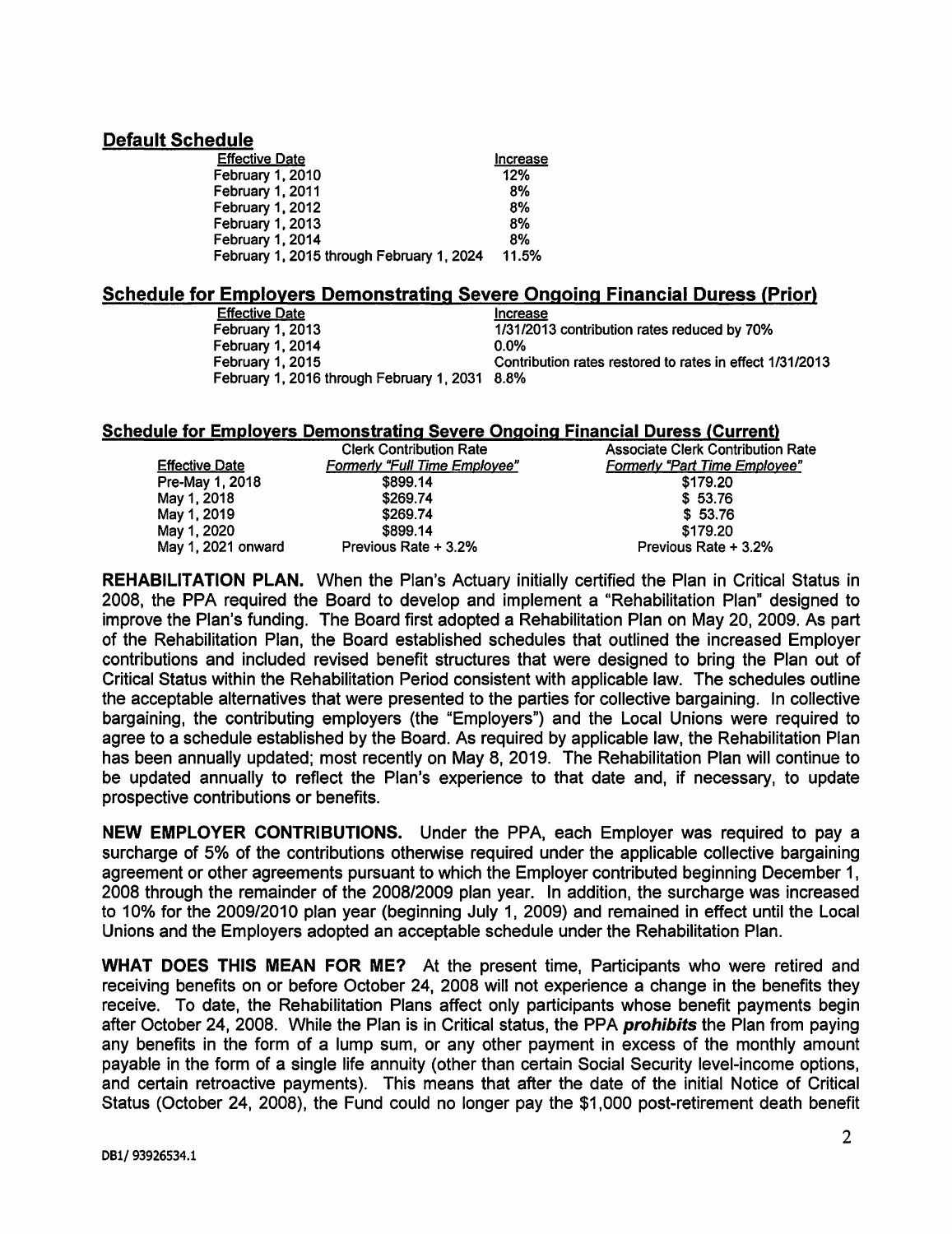# **Default Schedule**

| <b>Effective Date</b>                     | Increase |
|-------------------------------------------|----------|
| February 1, 2010                          | 12%      |
| February 1, 2011                          | 8%       |
| February 1, 2012                          | 8%       |
| <b>February 1, 2013</b>                   | 8%       |
| February 1, 2014                          | 8%       |
| February 1, 2015 through February 1, 2024 | 11.5%    |

# **Schedule for Employers Demonstrating Severe Ongoing Financial Duress {Prior)**

Effective Date<br>
February 1, 2013<br>
1/31/2013  $1/31/2013$  contribution rates reduced by 70% 0.0% February 1, 2014<br>February 1, 2015 Contribution rates restored to rates in effect 1/31/2013 February 1, 2016 through February 1, 2031 8.8%

### **Schedule for Employers Demonstrating Severe Ongoing Financial Duress (Current)**

|                       | <b>Clerk Contribution Rate</b>       | <b>Associate Clerk Contribution Rate</b> |
|-----------------------|--------------------------------------|------------------------------------------|
| <b>Effective Date</b> | <b>Formerly "Full Time Employee"</b> | <b>Formerly "Part Time Employee"</b>     |
| Pre-May 1, 2018       | \$899.14                             | \$179.20                                 |
| May 1, 2018           | \$269.74                             | \$53.76                                  |
| May 1, 2019           | \$269.74                             | \$53.76                                  |
| May 1, 2020           | \$899.14                             | \$179.20                                 |
| May 1, 2021 onward    | Previous Rate + 3.2%                 | Previous Rate + 3.2%                     |

**REHABILITATION PLAN.** When the Plan's Actuary initially certified the Plan in Critical Status in 2008, the PPA required the Board to develop and implement a "Rehabilitation Plan" designed to improve the Plan's funding. The Board first adopted a Rehabilitation Plan on May 20, 2009. As part of the Rehabilitation Plan, the Board established schedules that outlined the increased Employer contributions and included revised benefit structures that were designed to bring the Plan out of Critical Status within the Rehabilitation Period consistent with applicable law. The schedules outline the acceptable alternatives that were presented to the parties for collective bargaining. In collective bargaining, the contributing employers (the "Employers") and the Local Unions were required to agree to a schedule established by the Board. As required by applicable law, the Rehabilitation Plan has been annually updated; most recently on May 8, 2019. The Rehabilitation Plan will continue to be updated annually to reflect the Plan's experience to that date and, if necessary, to update prospective contributions or benefits.

**NEW EMPLOYER CONTRIBUTIONS.** Under the PPA, each Employer was required to pay a surcharge of 5% of the contributions otherwise required under the applicable collective bargaining agreement or other agreements pursuant to which the Employer contributed beginning December 1, 2008 through the remainder of the 2008/2009 plan year. In addition, the surcharge was increased to 10% for the 2009/2010 plan year (beginning July 1, 2009) and remained in effect until the Local Unions and the Employers adopted an acceptable schedule under the Rehabilitation Plan.

**WHAT DOES THIS MEAN FOR ME?** At the present time, Participants who were retired and receiving benefits on or before October 24, 2008 will not experience a change in the benefits they receive. To date, the Rehabilitation Plans affect only participants whose benefit payments begin after October 24, 2008. While the Plan is in Critical status, the PPA **prohibits** the Plan from paying any benefits in the form of a lump sum, or any other payment in excess of the monthly amount payable in the form of a single life annuity (other than certain Social Security level-income options, and certain retroactive payments). This means that after the date of the initial Notice of Critical Status (October 24, 2008), the Fund could no longer pay the \$1,000 post-retirement death benefit